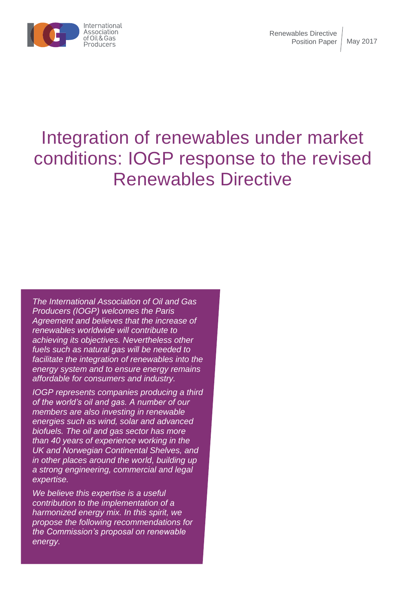

# Integration of renewables under market conditions: IOGP response to the revised Renewables Directive

*The International Association of Oil and Gas Producers (IOGP) welcomes the Paris Agreement and believes that the increase of renewables worldwide will contribute to achieving its objectives. Nevertheless other fuels such as natural gas will be needed to facilitate the integration of renewables into the energy system and to ensure energy remains affordable for consumers and industry.*

*IOGP represents companies producing a third of the world's oil and gas. A number of our members are also investing in renewable energies such as wind, solar and advanced biofuels. The oil and gas sector has more than 40 years of experience working in the UK and Norwegian Continental Shelves, and in other places around the world, building up a strong engineering, commercial and legal expertise.* 

*We believe this expertise is a useful contribution to the implementation of a harmonized energy mix. In this spirit, we propose the following recommendations for the Commission's proposal on renewable energy.*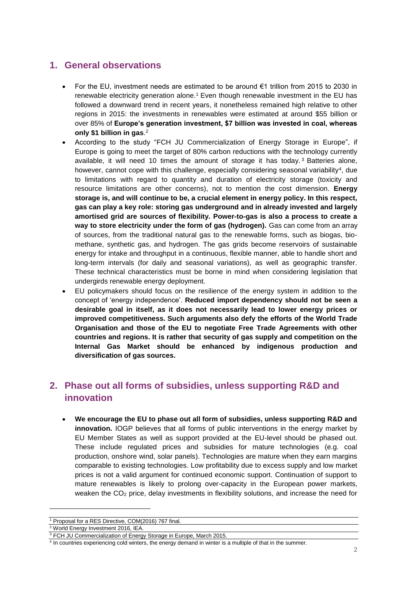#### **1. General observations**

- For the EU, investment needs are estimated to be around €1 trillion from 2015 to 2030 in renewable electricity generation alone.<sup>1</sup> Even though renewable investment in the EU has followed a downward trend in recent years, it nonetheless remained high relative to other regions in 2015: the investments in renewables were estimated at around \$55 billion or over 85% of **Europe's generation investment, \$7 billion was invested in coal, whereas only \$1 billion in gas**. 2
- According to the study "FCH JU Commercialization of Energy Storage in Europe", if Europe is going to meet the target of 80% carbon reductions with the technology currently available, it will need 10 times the amount of storage it has today.<sup>3</sup> Batteries alone, however, cannot cope with this challenge, especially considering seasonal variability<sup>4</sup>, due to limitations with regard to quantity and duration of electricity storage (toxicity and resource limitations are other concerns), not to mention the cost dimension. **Energy storage is, and will continue to be, a crucial element in energy policy. In this respect, gas can play a key role: storing gas underground and in already invested and largely amortised grid are sources of flexibility. Power-to-gas is also a process to create a way to store electricity under the form of gas (hydrogen).** Gas can come from an array of sources, from the traditional natural gas to the renewable forms, such as biogas, biomethane, synthetic gas, and hydrogen. The gas grids become reservoirs of sustainable energy for intake and throughput in a continuous, flexible manner, able to handle short and long-term intervals (for daily and seasonal variations), as well as geographic transfer. These technical characteristics must be borne in mind when considering legislation that undergirds renewable energy deployment.
- EU policymakers should focus on the resilience of the energy system in addition to the concept of 'energy independence'. **Reduced import dependency should not be seen a desirable goal in itself, as it does not necessarily lead to lower energy prices or improved competitiveness. Such arguments also defy the efforts of the World Trade Organisation and those of the EU to negotiate Free Trade Agreements with other countries and regions. It is rather that security of gas supply and competition on the Internal Gas Market should be enhanced by indigenous production and diversification of gas sources.**

## **2. Phase out all forms of subsidies, unless supporting R&D and innovation**

• **We encourage the EU to phase out all form of subsidies, unless supporting R&D and innovation.** IOGP believes that all forms of public interventions in the energy market by EU Member States as well as support provided at the EU-level should be phased out. These include regulated prices and subsidies for mature technologies (e.g. coal production, onshore wind, solar panels). Technologies are mature when they earn margins comparable to existing technologies. Low profitability due to excess supply and low market prices is not a valid argument for continued economic support. Continuation of support to mature renewables is likely to prolong over-capacity in the European power markets, weaken the CO<sub>2</sub> price, delay investments in flexibility solutions, and increase the need for

 $\overline{a}$ 

<sup>1</sup> Proposal for a RES Directive, COM(2016) 767 final.

<sup>&</sup>lt;sup>2</sup> World Energy Investment 2016, IEA.

<sup>&</sup>lt;sup>3</sup> FCH JU Commercialization of Energy Storage in Europe, March 2015.

<sup>4</sup> In countries experiencing cold winters, the energy demand in winter is a multiple of that in the summer.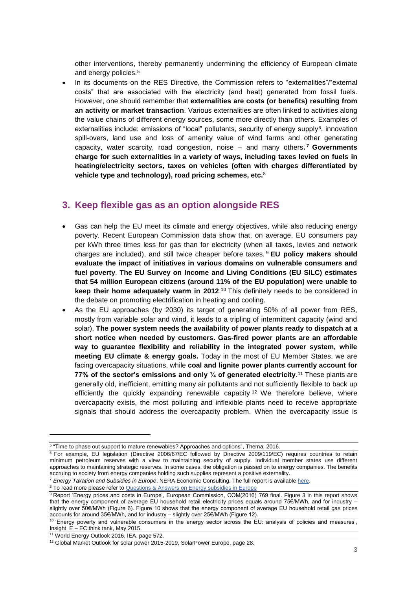other interventions, thereby permanently undermining the efficiency of European climate and energy policies.<sup>5</sup>

In its documents on the RES Directive, the Commission refers to "externalities"/"external costs" that are associated with the electricity (and heat) generated from fossil fuels. However, one should remember that **externalities are costs (or benefits) resulting from an activity or market transaction**. Various externalities are often linked to activities along the value chains of different energy sources, some more directly than others. Examples of externalities include: emissions of "local" pollutants, security of energy supply<sup>6</sup>, innovation spill-overs, land use and loss of amenity value of wind farms and other generating capacity, water scarcity, road congestion, noise – and many others**. <sup>7</sup> Governments charge for such externalities in a variety of ways, including taxes levied on fuels in heating/electricity sectors, taxes on vehicles (often with charges differentiated by vehicle type and technology), road pricing schemes, etc.**<sup>8</sup>

#### **3. Keep flexible gas as an option alongside RES**

- Gas can help the EU meet its climate and energy objectives, while also reducing energy poverty. Recent European Commission data show that, on average, EU consumers pay per kWh three times less for gas than for electricity (when all taxes, levies and network charges are included), and still twice cheaper before taxes. <sup>9</sup> **EU policy makers should evaluate the impact of initiatives in various domains on vulnerable consumers and fuel poverty**. **The EU Survey on Income and Living Conditions (EU SILC) estimates that 54 million European citizens (around 11% of the EU population) were unable to keep their home adequately warm in 2012.**<sup>10</sup> This definitely needs to be considered in the debate on promoting electrification in heating and cooling.
- As the EU approaches (by 2030) its target of generating 50% of all power from RES, mostly from variable solar and wind, it leads to a tripling of intermittent capacity (wind and solar). **The power system needs the availability of power plants ready to dispatch at a short notice when needed by customers. Gas-fired power plants are an affordable way to guarantee flexibility and reliability in the integrated power system, while meeting EU climate & energy goals.** Today in the most of EU Member States, we are facing overcapacity situations, while **coal and lignite power plants currently account for 77% of the sector's emissions and only ¼ of generated electricity**. <sup>11</sup> These plants are generally old, inefficient, emitting many air pollutants and not sufficiently flexible to back up efficiently the quickly expanding renewable capacity<sup>12</sup> We therefore believe, where overcapacity exists, the most polluting and inflexible plants need to receive appropriate signals that should address the overcapacity problem. When the overcapacity issue is

 $\overline{a}$ 

<sup>&</sup>lt;sup>5</sup> "Time to phase out support to mature renewables? Approaches and options", Thema, 2016.

<sup>&</sup>lt;sup>6</sup> For example, EU legislation (Directive 2006/67/EC followed by Directive 2009/119/EC) requires countries to retain minimum petroleum reserves with a view to maintaining security of supply. Individual member states use different approaches to maintaining strategic reserves. In some cases, the obligation is passed on to energy companies. The benefits accruing to society from energy companies holding such supplies represent a positive externality

<sup>&</sup>lt;sup>7</sup> Energy Taxation and Subsidies in Europe, NERA Economic Consulting. The full report is available [here.](http://www.nera.com/nera-files/PUB_OGP_0514.pdf) <sup>8</sup> To read more please refer t[o Questions & Answers on Energy subsidies in Europe](http://www.iogp.org/pubs/EUQA1605.pdf)

<sup>9</sup> Report 'Energy prices and costs in Europe', European Commission, COM(2016) 769 final. Figure 3 in this report shows that the energy component of average EU household retail electricity prices equals around 75€/MWh, and for industry – slightly over 50€/MWh (Figure 6). Figure 10 shows that the energy component of average EU household retail gas prices accounts for around 35€/MWh, and for industry – slightly over 25€/MWh (Figure 12).

<sup>&</sup>lt;sup>10</sup> 'Energy poverty and vulnerable consumers in the energy sector across the EU: analysis of policies and measures', Insight\_E – EC think tank, May 2015.

<sup>&</sup>lt;sup>11</sup> World Energy Outlook 2016, IEA, page 572.

<sup>&</sup>lt;sup>12</sup> Global Market Outlook for solar power 2015-2019, SolarPower Europe, page 28.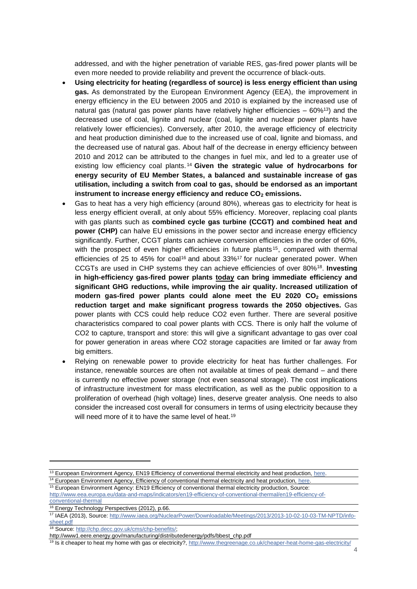addressed, and with the higher penetration of variable RES, gas-fired power plants will be even more needed to provide reliability and prevent the occurrence of black-outs.

- **Using electricity for heating (regardless of source) is less energy efficient than using gas.** As demonstrated by the European Environment Agency (EEA), the improvement in energy efficiency in the EU between 2005 and 2010 is explained by the increased use of natural gas (natural gas power plants have relatively higher efficiencies  $-60\%$ <sup>13</sup>) and the decreased use of coal, lignite and nuclear (coal, lignite and nuclear power plants have relatively lower efficiencies). Conversely, after 2010, the average efficiency of electricity and heat production diminished due to the increased use of coal, lignite and biomass, and the decreased use of natural gas. About half of the decrease in energy efficiency between 2010 and 2012 can be attributed to the changes in fuel mix, and led to a greater use of existing low efficiency coal plants. <sup>14</sup> **Given the strategic value of hydrocarbons for energy security of EU Member States, a balanced and sustainable increase of gas utilisation, including a switch from coal to gas, should be endorsed as an important instrument to increase energy efficiency and reduce CO<sup>2</sup> emissions.**
- Gas to heat has a very high efficiency (around 80%), whereas gas to electricity for heat is less energy efficient overall, at only about 55% efficiency. Moreover, replacing coal plants with gas plants such as **combined cycle gas turbine (CCGT) and combined heat and power (CHP)** can halve EU emissions in the power sector and increase energy efficiency significantly. Further, CCGT plants can achieve conversion efficiencies in the order of 60%, with the prospect of even higher efficiencies in future plants<sup>15</sup>, compared with thermal efficiencies of 25 to 45% for coal<sup>16</sup> and about  $33\frac{6}{7}$  for nuclear generated power. When CCGTs are used in CHP systems they can achieve efficiencies of over 80%<sup>18</sup> . **Investing in high-efficiency gas-fired power plants today can bring immediate efficiency and significant GHG reductions, while improving the air quality. Increased utilization of modern gas-fired power plants could alone meet the EU 2020 CO<sup>2</sup> emissions reduction target and make significant progress towards the 2050 objectives.** Gas power plants with CCS could help reduce CO2 even further. There are several positive characteristics compared to coal power plants with CCS. There is only half the volume of CO2 to capture, transport and store: this will give a significant advantage to gas over coal for power generation in areas where CO2 storage capacities are limited or far away from big emitters.
- Relying on renewable power to provide electricity for heat has further challenges. For instance, renewable sources are often not available at times of peak demand – and there is currently no effective power storage (not even seasonal storage). The cost implications of infrastructure investment for mass electrification, as well as the public opposition to a proliferation of overhead (high voltage) lines, deserve greater analysis. One needs to also consider the increased cost overall for consumers in terms of using electricity because they will need more of it to have the same level of heat.<sup>19</sup>

 $\overline{a}$ 

<sup>&</sup>lt;sup>13</sup> European Environment Agency, EN19 Efficiency of conventional thermal electricity and heat production, [here.](https://www.google.be/url?sa=t&rct=j&q=&esrc=s&source=web&cd=2&cad=rja&uact=8&ved=0ahUKEwiN4bvwppjMAhUJESwKHYsmCkkQFgglMAE&url=http%3A%2F%2Fwww.eea.europa.eu%2Fpublications%2Feea_report_2008_6%2FEN19_Efficiency_of_conventional_thermal_electricity_and_heat_production.pdf&usg=AFQjCNFydhwga4KzHJKn3VTYoHCrYGk6KQ&sig2=HyqvppjiIOmNTvIXH56nuw)

<sup>&</sup>lt;sup>14</sup> European Environment Agency, Efficiency of conventional thermal electricity and heat production, [here.](http://www.eea.europa.eu/data-and-maps/indicators/efficiency-of-conventional-thermal-electricity-generation-4/assessment) <sup>15</sup> European Environment Agency: EN19 Efficiency of conventional thermal electricity production, Source:

[http://www.eea.europa.eu/data-and-maps/indicators/en19-efficiency-of-conventional-thermal/en19-efficiency-of](http://www.eea.europa.eu/data-and-maps/indicators/en19-efficiency-of-conventional-thermal/en19-efficiency-of-conventional-thermal)[conventional-thermal](http://www.eea.europa.eu/data-and-maps/indicators/en19-efficiency-of-conventional-thermal/en19-efficiency-of-conventional-thermal)

<sup>&</sup>lt;sup>16</sup> Energy Technology Perspectives (2012), p.66.

<sup>17</sup> IAEA (2013), Source[: http://www.iaea.org/NuclearPower/Downloadable/Meetings/2013/2013-10-02-10-03-TM-NPTD/info](http://www.iaea.org/NuclearPower/Downloadable/Meetings/2013/2013-10-02-10-03-TM-NPTD/info-sheet.pdf)[sheet.pdf](http://www.iaea.org/NuclearPower/Downloadable/Meetings/2013/2013-10-02-10-03-TM-NPTD/info-sheet.pdf)

<sup>18</sup> Source[: http://chp.decc.gov.uk/cms/chp-benefits/;](http://chp.decc.gov.uk/cms/chp-benefits/)

http://www1.eere.energy.gov/manufacturing/distributedenergy/pdfs/bbest\_chp.pdf

<sup>19</sup> Is it cheaper to heat my home with gas or electricity?[, http://www.thegreenage.co.uk/cheaper-heat-home-gas-electricity/](http://www.thegreenage.co.uk/cheaper-heat-home-gas-electricity/)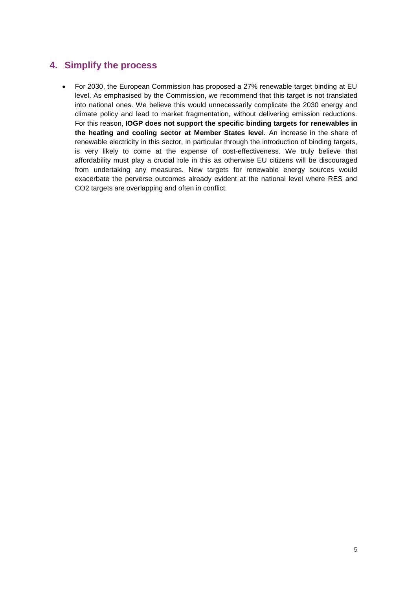#### **4. Simplify the process**

• For 2030, the European Commission has proposed a 27% renewable target binding at EU level. As emphasised by the Commission, we recommend that this target is not translated into national ones. We believe this would unnecessarily complicate the 2030 energy and climate policy and lead to market fragmentation, without delivering emission reductions. For this reason, **IOGP does not support the specific binding targets for renewables in the heating and cooling sector at Member States level.** An increase in the share of renewable electricity in this sector, in particular through the introduction of binding targets, is very likely to come at the expense of cost-effectiveness. We truly believe that affordability must play a crucial role in this as otherwise EU citizens will be discouraged from undertaking any measures. New targets for renewable energy sources would exacerbate the perverse outcomes already evident at the national level where RES and CO<sub>2</sub> targets are overlapping and often in conflict.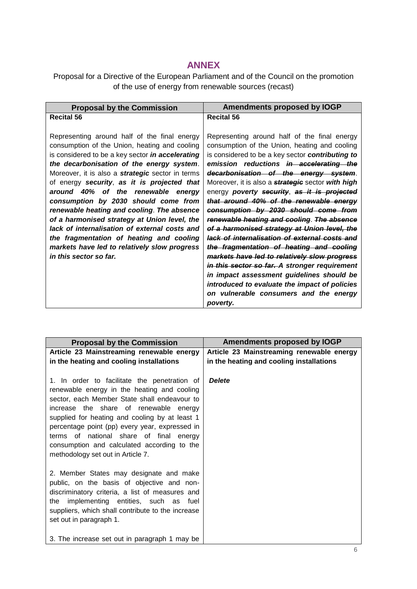### **ANNEX**

Proposal for a Directive of the European Parliament and of the Council on the promotion of the use of energy from renewable sources (recast)

| <b>Proposal by the Commission</b>                       | Amendments proposed by IOGP                              |
|---------------------------------------------------------|----------------------------------------------------------|
| <b>Recital 56</b>                                       | <b>Recital 56</b>                                        |
|                                                         |                                                          |
| Representing around half of the final energy            | Representing around half of the final energy             |
| consumption of the Union, heating and cooling           | consumption of the Union, heating and cooling            |
| is considered to be a key sector <i>in accelerating</i> | is considered to be a key sector contributing to         |
| the decarbonisation of the energy system.               | emission reductions in accelerating the                  |
| Moreover, it is also a <b>strategic</b> sector in terms | decarbonisation of the energy system.                    |
| of energy security, as it is projected that             | Moreover, it is also a <i>strategic</i> sector with high |
| around 40% of the renewable<br>enerav                   | energy poverty security, as it is projected              |
| consumption by 2030 should come from                    | that around 40% of the renewable energy                  |
| renewable heating and cooling. The absence              | consumption by 2030 should come from                     |
| of a harmonised strategy at Union level, the            | renewable heating and cooling. The absence               |
| lack of internalisation of external costs and           | of a harmonised strategy at Union level, the             |
| the fragmentation of heating and cooling                | lack of internalisation of external costs and            |
| markets have led to relatively slow progress            | the fragmentation of heating and cooling                 |
| in this sector so far.                                  | markets have led to relatively slow progress             |
|                                                         | in this sector so far. A stronger requirement            |
|                                                         | in impact assessment guidelines should be                |
|                                                         | introduced to evaluate the impact of policies            |
|                                                         | on vulnerable consumers and the energy                   |
|                                                         | poverty.                                                 |

| <b>Proposal by the Commission</b>                                                                                                                                                                                                                                                                                                                                                                                        | Amendments proposed by IOGP                                                           |
|--------------------------------------------------------------------------------------------------------------------------------------------------------------------------------------------------------------------------------------------------------------------------------------------------------------------------------------------------------------------------------------------------------------------------|---------------------------------------------------------------------------------------|
| Article 23 Mainstreaming renewable energy<br>in the heating and cooling installations                                                                                                                                                                                                                                                                                                                                    | Article 23 Mainstreaming renewable energy<br>in the heating and cooling installations |
| 1. In order to facilitate the penetration of<br>renewable energy in the heating and cooling<br>sector, each Member State shall endeavour to<br>increase the share of renewable energy<br>supplied for heating and cooling by at least 1<br>percentage point (pp) every year, expressed in<br>terms of national share of final energy<br>consumption and calculated according to the<br>methodology set out in Article 7. | <b>Delete</b>                                                                         |
| 2. Member States may designate and make<br>public, on the basis of objective and non-<br>discriminatory criteria, a list of measures and<br>implementing entities, such as fuel<br>the<br>suppliers, which shall contribute to the increase<br>set out in paragraph 1.                                                                                                                                                   |                                                                                       |
| 3. The increase set out in paragraph 1 may be                                                                                                                                                                                                                                                                                                                                                                            |                                                                                       |